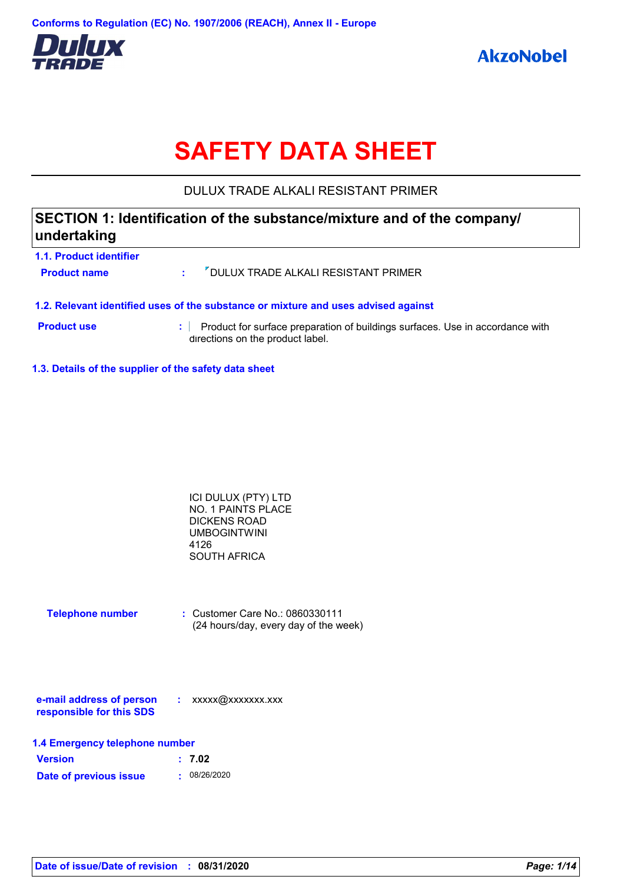

# **SAFETY DATA SHEET**

## DULUX TRADE ALKALI RESISTANT PRIMER

## **SECTION 1: Identification of the substance/mixture and of the company/ undertaking**

| 1.1. Product identifier<br><b>Product name</b> | the c | " DULUX TRADE ALKALI RESISTANT PRIMER                                                                             |
|------------------------------------------------|-------|-------------------------------------------------------------------------------------------------------------------|
|                                                |       | 1.2. Relevant identified uses of the substance or mixture and uses advised against                                |
| <b>Product use</b>                             |       | Product for surface preparation of buildings surfaces. Use in accordance with<br>directions on the product label. |

**1.3. Details of the supplier of the safety data sheet**

| ICI DULUX (PTY) LTD |  |
|---------------------|--|
| NO. 1 PAINTS PLACE  |  |
| <b>DICKENS ROAD</b> |  |
| <b>UMBOGINTWINI</b> |  |
| 4126                |  |
| <b>SOUTH AFRICA</b> |  |

| <b>Telephone number</b> | : Customer Care No.: 0860330111       |
|-------------------------|---------------------------------------|
|                         | (24 hours/day, every day of the week) |

| e-mail address of person | xxxxx@xxxxxxx.xxx |
|--------------------------|-------------------|
| responsible for this SDS |                   |

| 1.4 Emergency telephone number |        |  |
|--------------------------------|--------|--|
| <b>Version</b>                 | : 7.02 |  |

| Date of previous issue | . 08/26/2020 |
|------------------------|--------------|
|                        |              |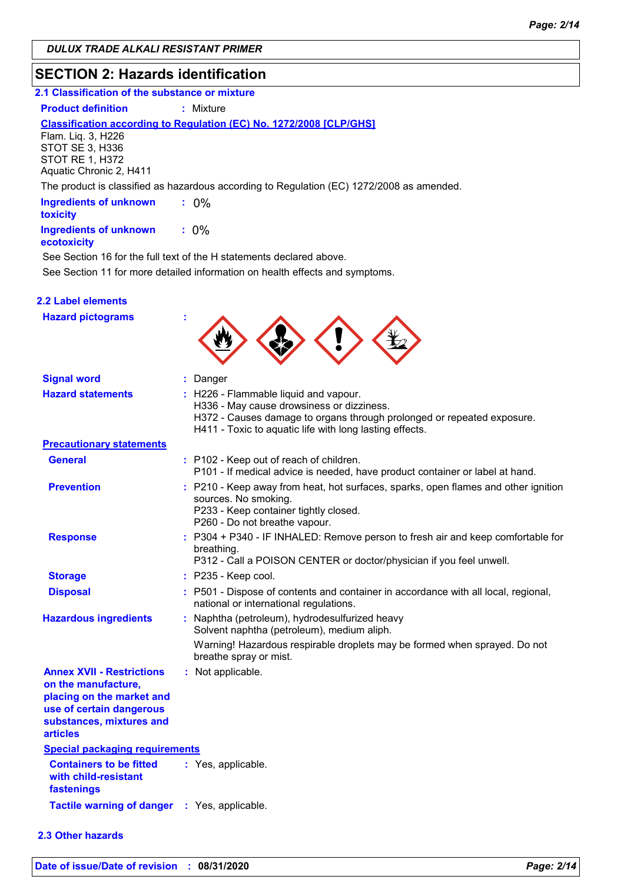## **SECTION 2: Hazards identification**

## **2.1 Classification of the substance or mixture**

**Product definition : Mixture** 

#### **Classification according to Regulation (EC) No. 1272/2008 [CLP/GHS]**

Flam. Liq. 3, H226 STOT SE 3, H336 STOT RE 1, H372 Aquatic Chronic 2, H411

The product is classified as hazardous according to Regulation (EC) 1272/2008 as amended.

| <b>Ingredients of unknown</b><br>toxicity |         |
|-------------------------------------------|---------|
| <b>Ingredients of unknown</b>             | $: 0\%$ |

#### **ecotoxicity**

See Section 11 for more detailed information on health effects and symptoms. See Section 16 for the full text of the H statements declared above.

#### **2.2 Label elements**

| <b>Hazard pictograms</b>                                                                                                                                        |                                                                                                                                                                                                                         |
|-----------------------------------------------------------------------------------------------------------------------------------------------------------------|-------------------------------------------------------------------------------------------------------------------------------------------------------------------------------------------------------------------------|
| <b>Signal word</b>                                                                                                                                              | : Danger                                                                                                                                                                                                                |
| <b>Hazard statements</b>                                                                                                                                        | : H226 - Flammable liquid and vapour.<br>H336 - May cause drowsiness or dizziness.<br>H372 - Causes damage to organs through prolonged or repeated exposure.<br>H411 - Toxic to aquatic life with long lasting effects. |
| <b>Precautionary statements</b>                                                                                                                                 |                                                                                                                                                                                                                         |
| General                                                                                                                                                         | : P102 - Keep out of reach of children.<br>P101 - If medical advice is needed, have product container or label at hand.                                                                                                 |
| <b>Prevention</b>                                                                                                                                               | : P210 - Keep away from heat, hot surfaces, sparks, open flames and other ignition<br>sources. No smoking.<br>P233 - Keep container tightly closed.<br>P260 - Do not breathe vapour.                                    |
| <b>Response</b>                                                                                                                                                 | : P304 + P340 - IF INHALED: Remove person to fresh air and keep comfortable for<br>breathing.<br>P312 - Call a POISON CENTER or doctor/physician if you feel unwell.                                                    |
| <b>Storage</b>                                                                                                                                                  | : P235 - Keep cool.                                                                                                                                                                                                     |
| <b>Disposal</b>                                                                                                                                                 | : P501 - Dispose of contents and container in accordance with all local, regional,<br>national or international regulations.                                                                                            |
| <b>Hazardous ingredients</b>                                                                                                                                    | : Naphtha (petroleum), hydrodesulfurized heavy<br>Solvent naphtha (petroleum), medium aliph.                                                                                                                            |
|                                                                                                                                                                 | Warning! Hazardous respirable droplets may be formed when sprayed. Do not<br>breathe spray or mist.                                                                                                                     |
| <b>Annex XVII - Restrictions</b><br>on the manufacture,<br>placing on the market and<br>use of certain dangerous<br>substances, mixtures and<br><b>articles</b> | : Not applicable.                                                                                                                                                                                                       |
| <b>Special packaging requirements</b>                                                                                                                           |                                                                                                                                                                                                                         |
| <b>Containers to be fitted</b><br>with child-resistant<br>fastenings                                                                                            | : Yes, applicable.                                                                                                                                                                                                      |
| <b>Tactile warning of danger</b>                                                                                                                                | : Yes, applicable.                                                                                                                                                                                                      |

#### **2.3 Other hazards**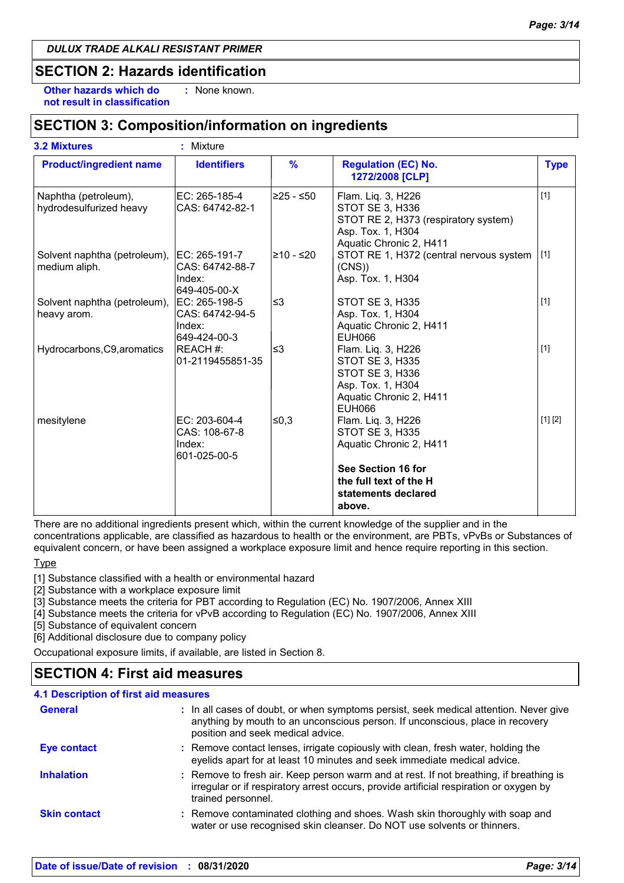## **SECTION 2: Hazards identification**

**Other hazards which do : not result in classification** : None known.

## **SECTION 3: Composition/information on ingredients**

| <b>Product/ingredient name</b>                  | <b>Identifiers</b>                                          | $\%$        | <b>Regulation (EC) No.</b><br>1272/2008 [CLP]                                                                                 | <b>Type</b> |
|-------------------------------------------------|-------------------------------------------------------------|-------------|-------------------------------------------------------------------------------------------------------------------------------|-------------|
| Naphtha (petroleum),<br>hydrodesulfurized heavy | EC: 265-185-4<br>CAS: 64742-82-1                            | l≥25 - ≤50∶ | Flam. Liq. 3, H226<br>STOT SE 3, H336<br>STOT RE 2, H373 (respiratory system)<br>Asp. Tox. 1, H304<br>Aquatic Chronic 2, H411 | $[1]$       |
| Solvent naphtha (petroleum),<br>medium aliph.   | EC: 265-191-7<br>ICAS: 64742-88-7<br>Index:<br>649-405-00-X | l≥10 - ≤20  | STOT RE 1, H372 (central nervous system<br>(CNS)<br>Asp. Tox. 1, H304                                                         | $[1]$       |
| Solvent naphtha (petroleum),<br>heavy arom.     | EC: 265-198-5<br>CAS: 64742-94-5<br>Index:<br>649-424-00-3  | l≤3         | STOT SE 3, H335<br>Asp. Tox. 1, H304<br>Aquatic Chronic 2, H411<br><b>EUH066</b>                                              | $[1]$       |
| Hydrocarbons, C9, aromatics                     | REACH #:<br>01-2119455851-35                                | l≤3         | Flam. Lig. 3, H226<br>STOT SE 3, H335<br>STOT SE 3, H336<br>Asp. Tox. 1, H304<br>Aquatic Chronic 2, H411<br><b>EUH066</b>     | $[1]$       |
| mesitylene                                      | EC: 203-604-4<br>CAS: 108-67-8<br>Index:<br>601-025-00-5    | ≤0,3        | Flam. Liq. 3, H226<br>STOT SE 3, H335<br>Aquatic Chronic 2, H411                                                              | [1] [2]     |
|                                                 |                                                             |             | See Section 16 for<br>the full text of the H<br>statements declared<br>above.                                                 |             |

There are no additional ingredients present which, within the current knowledge of the supplier and in the concentrations applicable, are classified as hazardous to health or the environment, are PBTs, vPvBs or Substances of equivalent concern, or have been assigned a workplace exposure limit and hence require reporting in this section.

Type

[1] Substance classified with a health or environmental hazard

[2] Substance with a workplace exposure limit

[3] Substance meets the criteria for PBT according to Regulation (EC) No. 1907/2006, Annex XIII

[4] Substance meets the criteria for vPvB according to Regulation (EC) No. 1907/2006, Annex XIII

[5] Substance of equivalent concern

[6] Additional disclosure due to company policy

Occupational exposure limits, if available, are listed in Section 8.

## **SECTION 4: First aid measures**

| <b>4.1 Description of first aid measures</b> |                                                                                                                                                                                                             |
|----------------------------------------------|-------------------------------------------------------------------------------------------------------------------------------------------------------------------------------------------------------------|
| <b>General</b>                               | : In all cases of doubt, or when symptoms persist, seek medical attention. Never give<br>anything by mouth to an unconscious person. If unconscious, place in recovery<br>position and seek medical advice. |
| <b>Eye contact</b>                           | : Remove contact lenses, irrigate copiously with clean, fresh water, holding the<br>eyelids apart for at least 10 minutes and seek immediate medical advice.                                                |
| <b>Inhalation</b>                            | : Remove to fresh air. Keep person warm and at rest. If not breathing, if breathing is<br>irregular or if respiratory arrest occurs, provide artificial respiration or oxygen by<br>trained personnel.      |
| <b>Skin contact</b>                          | : Remove contaminated clothing and shoes. Wash skin thoroughly with soap and<br>water or use recognised skin cleanser. Do NOT use solvents or thinners.                                                     |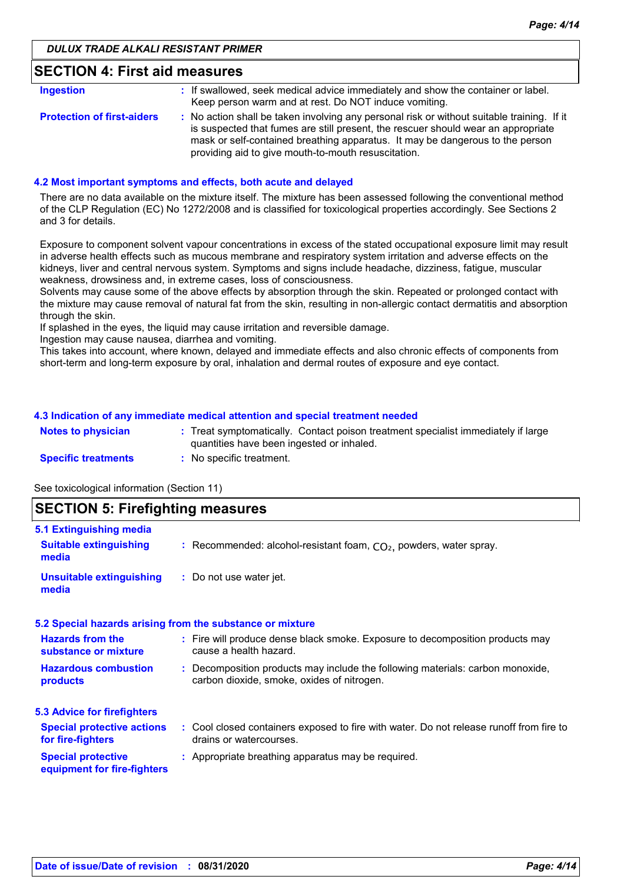| <b>SECTION 4: First aid measures</b> |  |
|--------------------------------------|--|
|--------------------------------------|--|

| <b>Ingestion</b>                  | : If swallowed, seek medical advice immediately and show the container or label.<br>Keep person warm and at rest. Do NOT induce vomiting.                                                                                                                                                                               |
|-----------------------------------|-------------------------------------------------------------------------------------------------------------------------------------------------------------------------------------------------------------------------------------------------------------------------------------------------------------------------|
| <b>Protection of first-aiders</b> | : No action shall be taken involving any personal risk or without suitable training. If it<br>is suspected that fumes are still present, the rescuer should wear an appropriate<br>mask or self-contained breathing apparatus. It may be dangerous to the person<br>providing aid to give mouth-to-mouth resuscitation. |

#### **4.2 Most important symptoms and effects, both acute and delayed**

There are no data available on the mixture itself. The mixture has been assessed following the conventional method of the CLP Regulation (EC) No 1272/2008 and is classified for toxicological properties accordingly. See Sections 2 and 3 for details.

Exposure to component solvent vapour concentrations in excess of the stated occupational exposure limit may result in adverse health effects such as mucous membrane and respiratory system irritation and adverse effects on the kidneys, liver and central nervous system. Symptoms and signs include headache, dizziness, fatigue, muscular weakness, drowsiness and, in extreme cases, loss of consciousness.

Solvents may cause some of the above effects by absorption through the skin. Repeated or prolonged contact with the mixture may cause removal of natural fat from the skin, resulting in non-allergic contact dermatitis and absorption through the skin.

If splashed in the eyes, the liquid may cause irritation and reversible damage.

Ingestion may cause nausea, diarrhea and vomiting.

This takes into account, where known, delayed and immediate effects and also chronic effects of components from short-term and long-term exposure by oral, inhalation and dermal routes of exposure and eye contact.

#### **4.3 Indication of any immediate medical attention and special treatment needed**

| <b>Notes to physician</b>  | Treat symptomatically. Contact poison treatment specialist immediately if large<br>quantities have been ingested or inhaled. |
|----------------------------|------------------------------------------------------------------------------------------------------------------------------|
| <b>Specific treatments</b> | No specific treatment.                                                                                                       |

See toxicological information (Section 11)

**media**

| <b>SECTION 5: Firefighting measures</b> |                                                                      |  |
|-----------------------------------------|----------------------------------------------------------------------|--|
| 5.1 Extinguishing media                 |                                                                      |  |
| <b>Suitable extinguishing</b>           | : Recommended: alcohol-resistant foam, $CO2$ , powders, water spray. |  |

| <b>Unsuitable extinguishing</b> | : Do not use water jet. |
|---------------------------------|-------------------------|
| media                           |                         |

|                                                          | 5.2 Special hazards arising from the substance or mixture                               |
|----------------------------------------------------------|-----------------------------------------------------------------------------------------|
| <b>Hazards from the</b>                                  | : Fire will produce dense black smoke. Exposure to decomposition products may           |
| substance or mixture                                     | cause a health hazard.                                                                  |
| <b>Hazardous combustion</b>                              | : Decomposition products may include the following materials: carbon monoxide,          |
| products                                                 | carbon dioxide, smoke, oxides of nitrogen.                                              |
| <b>5.3 Advice for firefighters</b>                       |                                                                                         |
| <b>Special protective actions</b>                        | : Cool closed containers exposed to fire with water. Do not release runoff from fire to |
| for fire-fighters                                        | drains or watercourses.                                                                 |
| <b>Special protective</b><br>equipment for fire-fighters | : Appropriate breathing apparatus may be required.                                      |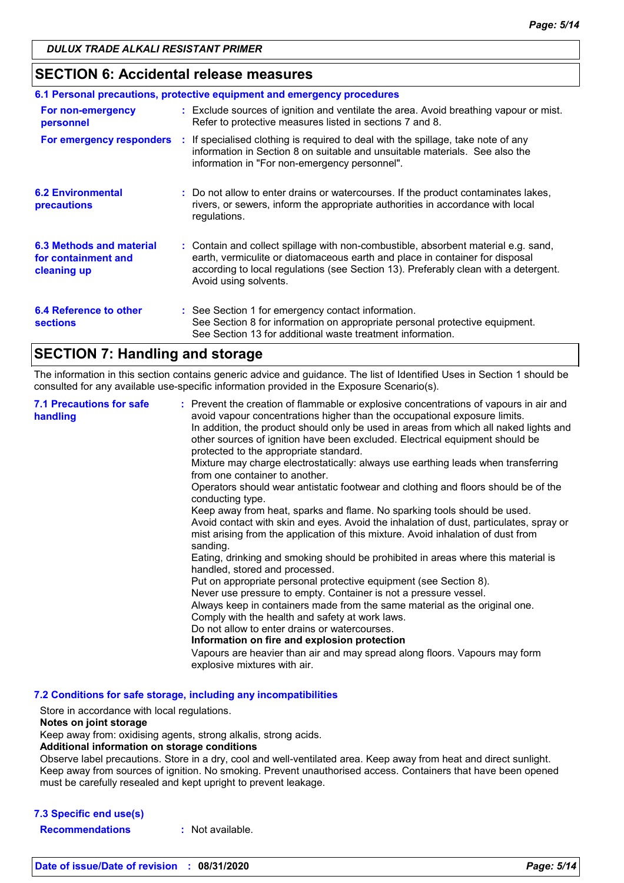## **SECTION 6: Accidental release measures**

| 6.1 Personal precautions, protective equipment and emergency procedures |  |                                                                                                                                                                                                                                                                                    |  |
|-------------------------------------------------------------------------|--|------------------------------------------------------------------------------------------------------------------------------------------------------------------------------------------------------------------------------------------------------------------------------------|--|
| For non-emergency<br>personnel                                          |  | : Exclude sources of ignition and ventilate the area. Avoid breathing vapour or mist.<br>Refer to protective measures listed in sections 7 and 8.                                                                                                                                  |  |
|                                                                         |  | For emergency responders : If specialised clothing is required to deal with the spillage, take note of any<br>information in Section 8 on suitable and unsuitable materials. See also the<br>information in "For non-emergency personnel".                                         |  |
| <b>6.2 Environmental</b><br>precautions                                 |  | : Do not allow to enter drains or watercourses. If the product contaminates lakes,<br>rivers, or sewers, inform the appropriate authorities in accordance with local<br>regulations.                                                                                               |  |
| 6.3 Methods and material<br>for containment and<br>cleaning up          |  | : Contain and collect spillage with non-combustible, absorbent material e.g. sand,<br>earth, vermiculite or diatomaceous earth and place in container for disposal<br>according to local regulations (see Section 13). Preferably clean with a detergent.<br>Avoid using solvents. |  |
| 6.4 Reference to other<br><b>sections</b>                               |  | : See Section 1 for emergency contact information.<br>See Section 8 for information on appropriate personal protective equipment.<br>See Section 13 for additional waste treatment information.                                                                                    |  |

## **SECTION 7: Handling and storage**

The information in this section contains generic advice and guidance. The list of Identified Uses in Section 1 should be consulted for any available use-specific information provided in the Exposure Scenario(s).

| <b>7.1 Precautions for safe</b><br>handling | : Prevent the creation of flammable or explosive concentrations of vapours in air and<br>avoid vapour concentrations higher than the occupational exposure limits.<br>In addition, the product should only be used in areas from which all naked lights and<br>other sources of ignition have been excluded. Electrical equipment should be<br>protected to the appropriate standard.<br>Mixture may charge electrostatically: always use earthing leads when transferring<br>from one container to another.<br>Operators should wear antistatic footwear and clothing and floors should be of the<br>conducting type.<br>Keep away from heat, sparks and flame. No sparking tools should be used.<br>Avoid contact with skin and eyes. Avoid the inhalation of dust, particulates, spray or<br>mist arising from the application of this mixture. Avoid inhalation of dust from<br>sanding.<br>Eating, drinking and smoking should be prohibited in areas where this material is<br>handled, stored and processed.<br>Put on appropriate personal protective equipment (see Section 8).<br>Never use pressure to empty. Container is not a pressure vessel.<br>Always keep in containers made from the same material as the original one.<br>Comply with the health and safety at work laws.<br>Do not allow to enter drains or watercourses.<br>Information on fire and explosion protection<br>Vapours are heavier than air and may spread along floors. Vapours may form<br>explosive mixtures with air. |
|---------------------------------------------|--------------------------------------------------------------------------------------------------------------------------------------------------------------------------------------------------------------------------------------------------------------------------------------------------------------------------------------------------------------------------------------------------------------------------------------------------------------------------------------------------------------------------------------------------------------------------------------------------------------------------------------------------------------------------------------------------------------------------------------------------------------------------------------------------------------------------------------------------------------------------------------------------------------------------------------------------------------------------------------------------------------------------------------------------------------------------------------------------------------------------------------------------------------------------------------------------------------------------------------------------------------------------------------------------------------------------------------------------------------------------------------------------------------------------------------------------------------------------------------------------------------|
|---------------------------------------------|--------------------------------------------------------------------------------------------------------------------------------------------------------------------------------------------------------------------------------------------------------------------------------------------------------------------------------------------------------------------------------------------------------------------------------------------------------------------------------------------------------------------------------------------------------------------------------------------------------------------------------------------------------------------------------------------------------------------------------------------------------------------------------------------------------------------------------------------------------------------------------------------------------------------------------------------------------------------------------------------------------------------------------------------------------------------------------------------------------------------------------------------------------------------------------------------------------------------------------------------------------------------------------------------------------------------------------------------------------------------------------------------------------------------------------------------------------------------------------------------------------------|

**7.2 Conditions for safe storage, including any incompatibilities**

Store in accordance with local regulations.

#### **Notes on joint storage**

Keep away from: oxidising agents, strong alkalis, strong acids.

#### **Additional information on storage conditions**

Observe label precautions. Store in a dry, cool and well-ventilated area. Keep away from heat and direct sunlight. Keep away from sources of ignition. No smoking. Prevent unauthorised access. Containers that have been opened must be carefully resealed and kept upright to prevent leakage.

#### **7.3 Specific end use(s)**

**Recommendations :** Not available.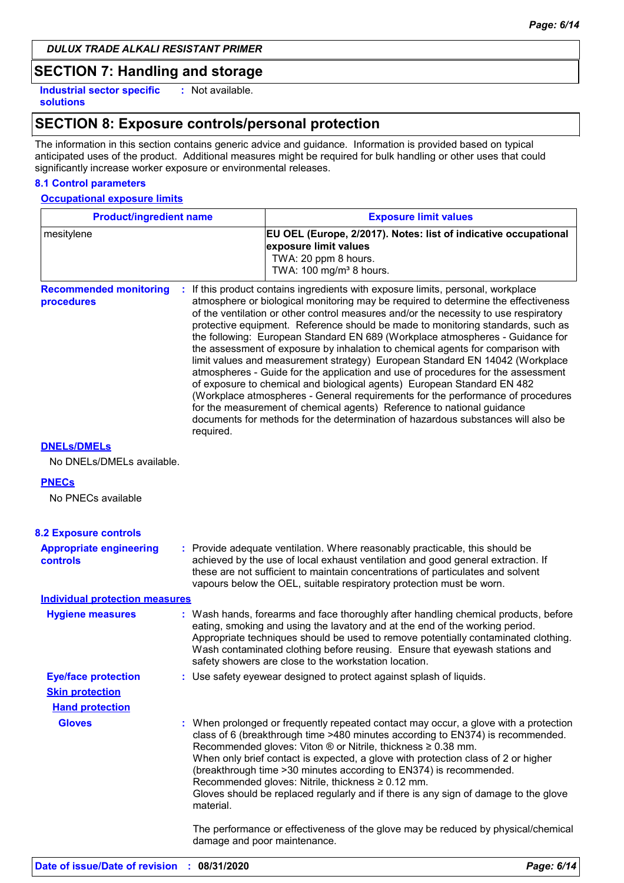## **SECTION 7: Handling and storage**

**Industrial sector specific : solutions**

: Not available.

## **SECTION 8: Exposure controls/personal protection**

The information in this section contains generic advice and guidance. Information is provided based on typical anticipated uses of the product. Additional measures might be required for bulk handling or other uses that could significantly increase worker exposure or environmental releases.

#### **8.1 Control parameters**

#### **Occupational exposure limits**

| <b>Product/ingredient name</b>                    |           | <b>Exposure limit values</b>                                                                                                                                                                                                                                                                                                                                                                                                                                                                                                                                                                                                                                                                                                                                                                                                                                                                                                                                                                                        |
|---------------------------------------------------|-----------|---------------------------------------------------------------------------------------------------------------------------------------------------------------------------------------------------------------------------------------------------------------------------------------------------------------------------------------------------------------------------------------------------------------------------------------------------------------------------------------------------------------------------------------------------------------------------------------------------------------------------------------------------------------------------------------------------------------------------------------------------------------------------------------------------------------------------------------------------------------------------------------------------------------------------------------------------------------------------------------------------------------------|
| mesitylene                                        |           | EU OEL (Europe, 2/2017). Notes: list of indicative occupational<br>exposure limit values<br>TWA: 20 ppm 8 hours.<br>TWA: 100 mg/m <sup>3</sup> 8 hours.                                                                                                                                                                                                                                                                                                                                                                                                                                                                                                                                                                                                                                                                                                                                                                                                                                                             |
| <b>Recommended monitoring</b><br>procedures       | required. | If this product contains ingredients with exposure limits, personal, workplace<br>atmosphere or biological monitoring may be required to determine the effectiveness<br>of the ventilation or other control measures and/or the necessity to use respiratory<br>protective equipment. Reference should be made to monitoring standards, such as<br>the following: European Standard EN 689 (Workplace atmospheres - Guidance for<br>the assessment of exposure by inhalation to chemical agents for comparison with<br>limit values and measurement strategy) European Standard EN 14042 (Workplace<br>atmospheres - Guide for the application and use of procedures for the assessment<br>of exposure to chemical and biological agents) European Standard EN 482<br>(Workplace atmospheres - General requirements for the performance of procedures<br>for the measurement of chemical agents) Reference to national guidance<br>documents for methods for the determination of hazardous substances will also be |
| <b>DNELS/DMELS</b>                                |           |                                                                                                                                                                                                                                                                                                                                                                                                                                                                                                                                                                                                                                                                                                                                                                                                                                                                                                                                                                                                                     |
| No DNELs/DMELs available.                         |           |                                                                                                                                                                                                                                                                                                                                                                                                                                                                                                                                                                                                                                                                                                                                                                                                                                                                                                                                                                                                                     |
| <b>PNECs</b>                                      |           |                                                                                                                                                                                                                                                                                                                                                                                                                                                                                                                                                                                                                                                                                                                                                                                                                                                                                                                                                                                                                     |
| No PNECs available                                |           |                                                                                                                                                                                                                                                                                                                                                                                                                                                                                                                                                                                                                                                                                                                                                                                                                                                                                                                                                                                                                     |
|                                                   |           |                                                                                                                                                                                                                                                                                                                                                                                                                                                                                                                                                                                                                                                                                                                                                                                                                                                                                                                                                                                                                     |
| <b>8.2 Exposure controls</b>                      |           |                                                                                                                                                                                                                                                                                                                                                                                                                                                                                                                                                                                                                                                                                                                                                                                                                                                                                                                                                                                                                     |
| <b>Appropriate engineering</b><br><b>controls</b> |           | : Provide adequate ventilation. Where reasonably practicable, this should be<br>achieved by the use of local exhaust ventilation and good general extraction. If<br>these are not sufficient to maintain concentrations of particulates and solvent<br>vapours below the OEL, suitable respiratory protection must be worn.                                                                                                                                                                                                                                                                                                                                                                                                                                                                                                                                                                                                                                                                                         |
| <b>Individual protection measures</b>             |           |                                                                                                                                                                                                                                                                                                                                                                                                                                                                                                                                                                                                                                                                                                                                                                                                                                                                                                                                                                                                                     |
| <b>Hygiene measures</b>                           |           | : Wash hands, forearms and face thoroughly after handling chemical products, before<br>eating, smoking and using the lavatory and at the end of the working period.<br>Appropriate techniques should be used to remove potentially contaminated clothing.<br>Wash contaminated clothing before reusing. Ensure that eyewash stations and<br>safety showers are close to the workstation location.                                                                                                                                                                                                                                                                                                                                                                                                                                                                                                                                                                                                                   |
| <b>Eye/face protection</b>                        |           | Use safety eyewear designed to protect against splash of liquids.                                                                                                                                                                                                                                                                                                                                                                                                                                                                                                                                                                                                                                                                                                                                                                                                                                                                                                                                                   |
| <b>Skin protection</b>                            |           |                                                                                                                                                                                                                                                                                                                                                                                                                                                                                                                                                                                                                                                                                                                                                                                                                                                                                                                                                                                                                     |
| <b>Hand protection</b>                            |           |                                                                                                                                                                                                                                                                                                                                                                                                                                                                                                                                                                                                                                                                                                                                                                                                                                                                                                                                                                                                                     |
| <b>Gloves</b>                                     | material. | : When prolonged or frequently repeated contact may occur, a glove with a protection<br>class of 6 (breakthrough time >480 minutes according to EN374) is recommended.<br>Recommended gloves: Viton ® or Nitrile, thickness ≥ 0.38 mm.<br>When only brief contact is expected, a glove with protection class of 2 or higher<br>(breakthrough time > 30 minutes according to EN374) is recommended.<br>Recommended gloves: Nitrile, thickness ≥ 0.12 mm.<br>Gloves should be replaced regularly and if there is any sign of damage to the glove                                                                                                                                                                                                                                                                                                                                                                                                                                                                      |
|                                                   |           | The performance or effectiveness of the glove may be reduced by physical/chemical<br>damage and poor maintenance.                                                                                                                                                                                                                                                                                                                                                                                                                                                                                                                                                                                                                                                                                                                                                                                                                                                                                                   |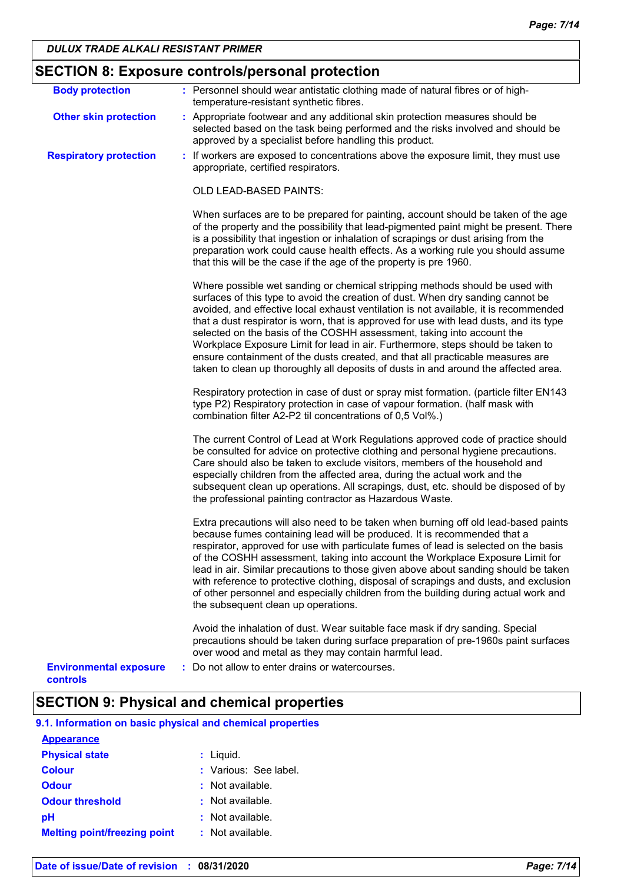| <b>Body protection</b>                    | : Personnel should wear antistatic clothing made of natural fibres or of high-                                                                                                                                                                                                                                                                                                                                                                                                                                                                                                                                                                                                          |
|-------------------------------------------|-----------------------------------------------------------------------------------------------------------------------------------------------------------------------------------------------------------------------------------------------------------------------------------------------------------------------------------------------------------------------------------------------------------------------------------------------------------------------------------------------------------------------------------------------------------------------------------------------------------------------------------------------------------------------------------------|
|                                           | temperature-resistant synthetic fibres.                                                                                                                                                                                                                                                                                                                                                                                                                                                                                                                                                                                                                                                 |
| <b>Other skin protection</b>              | : Appropriate footwear and any additional skin protection measures should be<br>selected based on the task being performed and the risks involved and should be<br>approved by a specialist before handling this product.                                                                                                                                                                                                                                                                                                                                                                                                                                                               |
| <b>Respiratory protection</b>             | : If workers are exposed to concentrations above the exposure limit, they must use<br>appropriate, certified respirators.                                                                                                                                                                                                                                                                                                                                                                                                                                                                                                                                                               |
|                                           | <b>OLD LEAD-BASED PAINTS:</b>                                                                                                                                                                                                                                                                                                                                                                                                                                                                                                                                                                                                                                                           |
|                                           | When surfaces are to be prepared for painting, account should be taken of the age<br>of the property and the possibility that lead-pigmented paint might be present. There<br>is a possibility that ingestion or inhalation of scrapings or dust arising from the<br>preparation work could cause health effects. As a working rule you should assume<br>that this will be the case if the age of the property is pre 1960.                                                                                                                                                                                                                                                             |
|                                           | Where possible wet sanding or chemical stripping methods should be used with<br>surfaces of this type to avoid the creation of dust. When dry sanding cannot be<br>avoided, and effective local exhaust ventilation is not available, it is recommended<br>that a dust respirator is worn, that is approved for use with lead dusts, and its type<br>selected on the basis of the COSHH assessment, taking into account the<br>Workplace Exposure Limit for lead in air. Furthermore, steps should be taken to<br>ensure containment of the dusts created, and that all practicable measures are<br>taken to clean up thoroughly all deposits of dusts in and around the affected area. |
|                                           | Respiratory protection in case of dust or spray mist formation. (particle filter EN143<br>type P2) Respiratory protection in case of vapour formation. (half mask with<br>combination filter A2-P2 til concentrations of 0,5 Vol%.)                                                                                                                                                                                                                                                                                                                                                                                                                                                     |
|                                           | The current Control of Lead at Work Regulations approved code of practice should<br>be consulted for advice on protective clothing and personal hygiene precautions.<br>Care should also be taken to exclude visitors, members of the household and<br>especially children from the affected area, during the actual work and the<br>subsequent clean up operations. All scrapings, dust, etc. should be disposed of by<br>the professional painting contractor as Hazardous Waste.                                                                                                                                                                                                     |
|                                           | Extra precautions will also need to be taken when burning off old lead-based paints<br>because fumes containing lead will be produced. It is recommended that a<br>respirator, approved for use with particulate fumes of lead is selected on the basis<br>of the COSHH assessment, taking into account the Workplace Exposure Limit for<br>lead in air. Similar precautions to those given above about sanding should be taken<br>with reference to protective clothing, disposal of scrapings and dusts, and exclusion<br>of other personnel and especially children from the building during actual work and<br>the subsequent clean up operations.                                  |
|                                           | Avoid the inhalation of dust. Wear suitable face mask if dry sanding. Special<br>precautions should be taken during surface preparation of pre-1960s paint surfaces<br>over wood and metal as they may contain harmful lead.                                                                                                                                                                                                                                                                                                                                                                                                                                                            |
| <b>Environmental exposure</b><br>controls | : Do not allow to enter drains or watercourses.                                                                                                                                                                                                                                                                                                                                                                                                                                                                                                                                                                                                                                         |

## **SECTION 9: Physical and chemical properties**

| 9.1. Information on basic physical and chemical properties |
|------------------------------------------------------------|
|------------------------------------------------------------|

| <b>Appearance</b>                   |                       |
|-------------------------------------|-----------------------|
| <b>Physical state</b>               | : Liquid.             |
| <b>Colour</b>                       | : Various: See label. |
| <b>Odour</b>                        | : Not available.      |
| <b>Odour threshold</b>              | : Not available.      |
| рH                                  | : Not available.      |
| <b>Melting point/freezing point</b> | $:$ Not available.    |
|                                     |                       |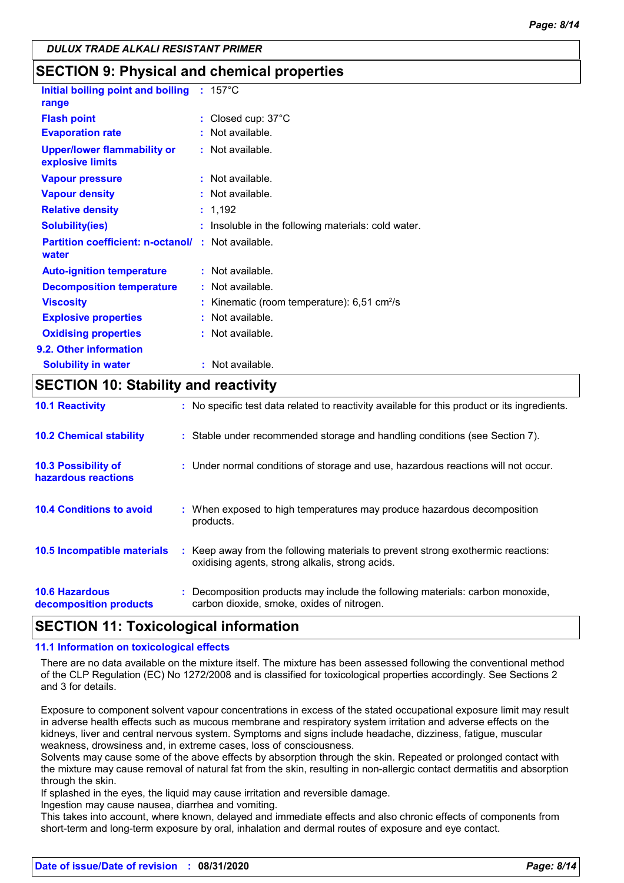**SECTION 9: Physical and chemical properties**

| Initial boiling point and boiling                                 | ÷. | $157^{\circ}$ C                                         |
|-------------------------------------------------------------------|----|---------------------------------------------------------|
| range                                                             |    |                                                         |
| <b>Flash point</b>                                                |    | : Closed cup: $37^{\circ}$ C                            |
| <b>Evaporation rate</b>                                           |    | Not available.                                          |
| <b>Upper/lower flammability or</b><br>explosive limits            |    | $:$ Not available.                                      |
| <b>Vapour pressure</b>                                            |    | : Not available.                                        |
| <b>Vapour density</b>                                             |    | : Not available.                                        |
| <b>Relative density</b>                                           |    | : 1.192                                                 |
| <b>Solubility(ies)</b>                                            |    | : Insoluble in the following materials: cold water.     |
| <b>Partition coefficient: n-octanol/: Not available.</b><br>water |    |                                                         |
| <b>Auto-ignition temperature</b>                                  |    | : Not available.                                        |
| <b>Decomposition temperature</b>                                  |    | $:$ Not available.                                      |
| <b>Viscosity</b>                                                  |    | Kinematic (room temperature): $6,51$ cm <sup>2</sup> /s |
| <b>Explosive properties</b>                                       |    | : Not available.                                        |
| <b>Oxidising properties</b>                                       |    | $:$ Not available.                                      |
| 9.2. Other information                                            |    |                                                         |
| <b>Solubility in water</b>                                        |    | : Not available.                                        |

## **SECTION 10: Stability and reactivity**

| <b>10.1 Reactivity</b>                            | : No specific test data related to reactivity available for this product or its ingredients.                                        |
|---------------------------------------------------|-------------------------------------------------------------------------------------------------------------------------------------|
| <b>10.2 Chemical stability</b>                    | : Stable under recommended storage and handling conditions (see Section 7).                                                         |
| <b>10.3 Possibility of</b><br>hazardous reactions | : Under normal conditions of storage and use, hazardous reactions will not occur.                                                   |
| <b>10.4 Conditions to avoid</b>                   | : When exposed to high temperatures may produce hazardous decomposition<br>products.                                                |
| 10.5 Incompatible materials                       | : Keep away from the following materials to prevent strong exothermic reactions:<br>oxidising agents, strong alkalis, strong acids. |
| <b>10.6 Hazardous</b><br>decomposition products   | : Decomposition products may include the following materials: carbon monoxide,<br>carbon dioxide, smoke, oxides of nitrogen.        |

## **SECTION 11: Toxicological information**

#### **11.1 Information on toxicological effects**

There are no data available on the mixture itself. The mixture has been assessed following the conventional method of the CLP Regulation (EC) No 1272/2008 and is classified for toxicological properties accordingly. See Sections 2 and 3 for details.

Exposure to component solvent vapour concentrations in excess of the stated occupational exposure limit may result in adverse health effects such as mucous membrane and respiratory system irritation and adverse effects on the kidneys, liver and central nervous system. Symptoms and signs include headache, dizziness, fatigue, muscular weakness, drowsiness and, in extreme cases, loss of consciousness.

Solvents may cause some of the above effects by absorption through the skin. Repeated or prolonged contact with the mixture may cause removal of natural fat from the skin, resulting in non-allergic contact dermatitis and absorption through the skin.

If splashed in the eyes, the liquid may cause irritation and reversible damage.

Ingestion may cause nausea, diarrhea and vomiting.

This takes into account, where known, delayed and immediate effects and also chronic effects of components from short-term and long-term exposure by oral, inhalation and dermal routes of exposure and eye contact.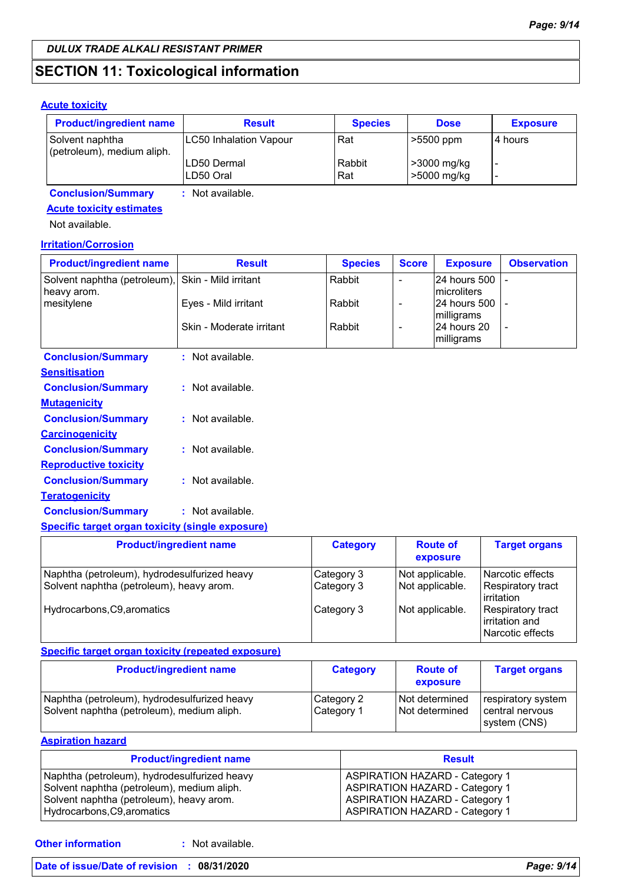## **SECTION 11: Toxicological information**

#### **Acute toxicity**

| <b>Product/ingredient name</b>                | <b>Result</b>            | <b>Species</b> | <b>Dose</b>                | <b>Exposure</b> |
|-----------------------------------------------|--------------------------|----------------|----------------------------|-----------------|
| Solvent naphtha<br>(petroleum), medium aliph. | LC50 Inhalation Vapour   | Rat            | $\mid$ >5500 ppm           | I4 hours        |
|                                               | LD50 Dermal<br>LD50 Oral | Rabbit<br>Rat  | >3000 mg/kg<br>>5000 mg/kg |                 |

**Conclusion/Summary :** Not available.

#### **Acute toxicity estimates**

Not available.

#### **Irritation/Corrosion**

| <b>Product/ingredient name</b>                                   | <b>Result</b>            | <b>Species</b> | <b>Score</b> | <b>Exposure</b>                       | <b>Observation</b> |
|------------------------------------------------------------------|--------------------------|----------------|--------------|---------------------------------------|--------------------|
| Solvent naphtha (petroleum), Skin - Mild irritant<br>heavy arom. |                          | Rabbit         |              | 24 hours 500 -<br><b>Imicroliters</b> |                    |
| mesitylene                                                       | Eyes - Mild irritant     | Rabbit         |              | 24 hours 500 -<br>milligrams          |                    |
|                                                                  | Skin - Moderate irritant | Rabbit         |              | 24 hours 20<br>milligrams             |                    |
| <b>Conclusion/Summary</b>                                        | Not available.           |                |              |                                       |                    |

| <b>Sensitisation</b>         |                  |
|------------------------------|------------------|
| <b>Conclusion/Summary</b>    | : Not available. |
| <u>Mutagenicity</u>          |                  |
| <b>Conclusion/Summary</b>    | : Not available. |
| <u>Carcinogenicity</u>       |                  |
| <b>Conclusion/Summary</b>    | : Not available. |
| <b>Reproductive toxicity</b> |                  |
| <b>Conclusion/Summary</b>    | : Not available. |
| <u>Teratogenicity</u>        |                  |
| <b>Conclusion/Summary</b>    | : Not available. |
|                              |                  |

## **Specific target organ toxicity (single exposure)**

| <b>Product/ingredient name</b>                                                           | <b>Category</b>          | <b>Route of</b><br>exposure        | <b>Target organs</b>                                            |
|------------------------------------------------------------------------------------------|--------------------------|------------------------------------|-----------------------------------------------------------------|
| Naphtha (petroleum), hydrodesulfurized heavy<br>Solvent naphtha (petroleum), heavy arom. | Category 3<br>Category 3 | Not applicable.<br>Not applicable. | Narcotic effects<br><b>Respiratory tract</b><br>irritation      |
| Hydrocarbons, C9, aromatics                                                              | Category 3               | Not applicable.                    | <b>Respiratory tract</b><br>lirritation and<br>Narcotic effects |

#### **Specific target organ toxicity (repeated exposure)**

| <b>Product/ingredient name</b>                                                             | <b>Category</b>          | <b>Route of</b><br>exposure      | <b>Target organs</b>                                  |
|--------------------------------------------------------------------------------------------|--------------------------|----------------------------------|-------------------------------------------------------|
| Naphtha (petroleum), hydrodesulfurized heavy<br>Solvent naphtha (petroleum), medium aliph. | Category 2<br>Category 1 | Not determined<br>Not determined | respiratory system<br>central nervous<br>system (CNS) |

#### **Aspiration hazard**

| <b>Product/ingredient name</b>                                                                                                         | <b>Result</b>                                                                                                           |
|----------------------------------------------------------------------------------------------------------------------------------------|-------------------------------------------------------------------------------------------------------------------------|
| Naphtha (petroleum), hydrodesulfurized heavy<br>Solvent naphtha (petroleum), medium aliph.<br>Solvent naphtha (petroleum), heavy arom. | <b>ASPIRATION HAZARD - Category 1</b><br><b>ASPIRATION HAZARD - Category 1</b><br><b>ASPIRATION HAZARD - Category 1</b> |
| Hydrocarbons, C9, aromatics                                                                                                            | <b>ASPIRATION HAZARD - Category 1</b>                                                                                   |

**Other information :**

: Not available.

#### **Date of issue/Date of revision : 08/31/2020** *Page: 9/14*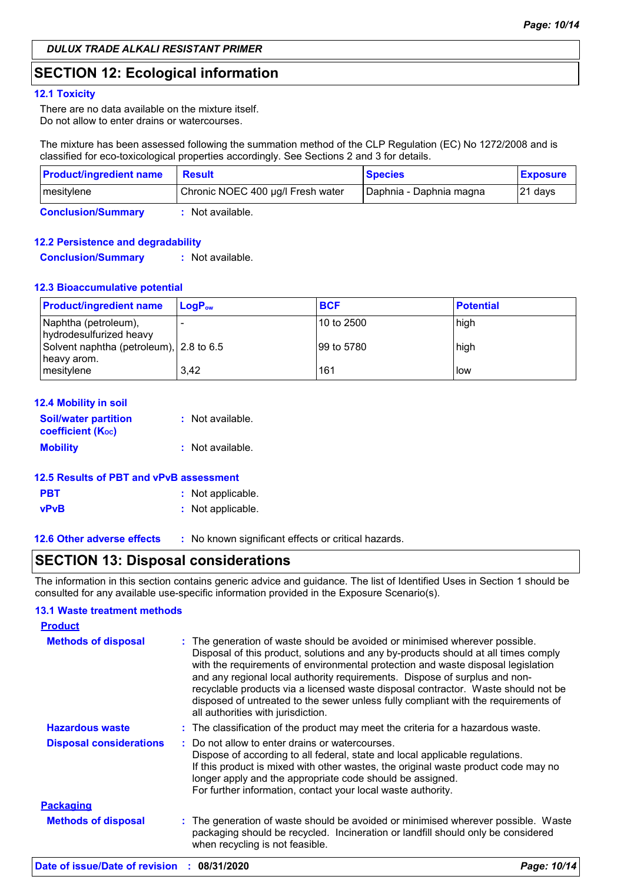## **SECTION 12: Ecological information**

#### **12.1 Toxicity**

There are no data available on the mixture itself. Do not allow to enter drains or watercourses.

The mixture has been assessed following the summation method of the CLP Regulation (EC) No 1272/2008 and is classified for eco-toxicological properties accordingly. See Sections 2 and 3 for details.

| <b>Product/ingredient name</b> | <b>Result</b>                     | <b>Species</b>          | <b>Exposure</b> |
|--------------------------------|-----------------------------------|-------------------------|-----------------|
| mesitylene                     | Chronic NOEC 400 µg/l Fresh water | Daphnia - Daphnia magna | $ 21$ days      |
| <b>Conclusion/Summary</b>      | Not available.                    |                         |                 |

#### **12.2 Persistence and degradability**

**Conclusion/Summary :** Not available.

#### **12.3 Bioaccumulative potential**

| <b>Product/ingredient name</b>                         | $LoaPow$ | <b>BCF</b> | <b>Potential</b> |
|--------------------------------------------------------|----------|------------|------------------|
| Naphtha (petroleum),<br>hydrodesulfurized heavy        |          | 10 to 2500 | high             |
| Solvent naphtha (petroleum), 2.8 to 6.5<br>heavy arom. |          | 99 to 5780 | high             |
| mesitylene                                             | 3.42     | 161        | low              |

| <b>12.4 Mobility in soil</b>                     |                  |
|--------------------------------------------------|------------------|
| <b>Soil/water partition</b><br>coefficient (Koc) | : Not available. |
| <b>Mobility</b>                                  | : Not available. |
|                                                  |                  |

#### **12.5 Results of PBT and vPvB assessment**

| <b>PBT</b>  | : Not applicable. |
|-------------|-------------------|
| <b>vPvB</b> | : Not applicable. |

**12.6 Other adverse effects** : No known significant effects or critical hazards.

## **SECTION 13: Disposal considerations**

The information in this section contains generic advice and guidance. The list of Identified Uses in Section 1 should be consulted for any available use-specific information provided in the Exposure Scenario(s).

#### **13.1 Waste treatment methods**

| <b>Product</b>                 |                                                                                                                                                                                                                                                                                                                                                                                                                                                                                                                                                      |
|--------------------------------|------------------------------------------------------------------------------------------------------------------------------------------------------------------------------------------------------------------------------------------------------------------------------------------------------------------------------------------------------------------------------------------------------------------------------------------------------------------------------------------------------------------------------------------------------|
| <b>Methods of disposal</b>     | : The generation of waste should be avoided or minimised wherever possible.<br>Disposal of this product, solutions and any by-products should at all times comply<br>with the requirements of environmental protection and waste disposal legislation<br>and any regional local authority requirements. Dispose of surplus and non-<br>recyclable products via a licensed waste disposal contractor. Waste should not be<br>disposed of untreated to the sewer unless fully compliant with the requirements of<br>all authorities with jurisdiction. |
| <b>Hazardous waste</b>         | : The classification of the product may meet the criteria for a hazardous waste.                                                                                                                                                                                                                                                                                                                                                                                                                                                                     |
| <b>Disposal considerations</b> | : Do not allow to enter drains or watercourses.<br>Dispose of according to all federal, state and local applicable regulations.<br>If this product is mixed with other wastes, the original waste product code may no<br>longer apply and the appropriate code should be assigned.<br>For further information, contact your local waste authority.                                                                                                                                                                                                   |
| <b>Packaging</b>               |                                                                                                                                                                                                                                                                                                                                                                                                                                                                                                                                                      |
| <b>Methods of disposal</b>     | : The generation of waste should be avoided or minimised wherever possible. Waste<br>packaging should be recycled. Incineration or landfill should only be considered<br>when recycling is not feasible.                                                                                                                                                                                                                                                                                                                                             |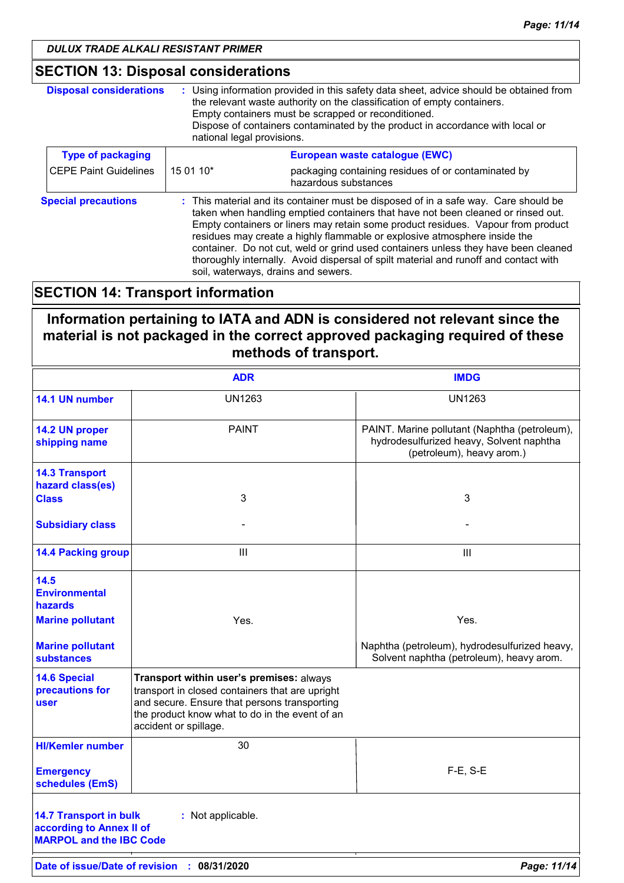## **SECTION 13: Disposal considerations**

| <b>Disposal considerations</b> | : Using information provided in this safety data sheet, advice should be obtained from<br>the relevant waste authority on the classification of empty containers.<br>Empty containers must be scrapped or reconditioned.<br>Dispose of containers contaminated by the product in accordance with local or<br>national legal provisions.                                                                                                                                                                                                                       |                                                                             |
|--------------------------------|---------------------------------------------------------------------------------------------------------------------------------------------------------------------------------------------------------------------------------------------------------------------------------------------------------------------------------------------------------------------------------------------------------------------------------------------------------------------------------------------------------------------------------------------------------------|-----------------------------------------------------------------------------|
| <b>Type of packaging</b>       |                                                                                                                                                                                                                                                                                                                                                                                                                                                                                                                                                               | European waste catalogue (EWC)                                              |
| <b>CEPE Paint Guidelines</b>   | 15 01 10*                                                                                                                                                                                                                                                                                                                                                                                                                                                                                                                                                     | packaging containing residues of or contaminated by<br>hazardous substances |
| <b>Special precautions</b>     | : This material and its container must be disposed of in a safe way. Care should be<br>taken when handling emptied containers that have not been cleaned or rinsed out.<br>Empty containers or liners may retain some product residues. Vapour from product<br>residues may create a highly flammable or explosive atmosphere inside the<br>container. Do not cut, weld or grind used containers unless they have been cleaned<br>thoroughly internally. Avoid dispersal of spilt material and runoff and contact with<br>soil, waterways, drains and sewers. |                                                                             |

## **SECTION 14: Transport information**

**Information pertaining to IATA and ADN is considered not relevant since the material is not packaged in the correct approved packaging required of these methods of transport.**

|                                                                                             | <b>ADR</b>                                                                                                                                                                                                             | <b>IMDG</b>                                                                                                            |
|---------------------------------------------------------------------------------------------|------------------------------------------------------------------------------------------------------------------------------------------------------------------------------------------------------------------------|------------------------------------------------------------------------------------------------------------------------|
| 14.1 UN number                                                                              | <b>UN1263</b>                                                                                                                                                                                                          | <b>UN1263</b>                                                                                                          |
| 14.2 UN proper<br>shipping name                                                             | <b>PAINT</b>                                                                                                                                                                                                           | PAINT. Marine pollutant (Naphtha (petroleum),<br>hydrodesulfurized heavy, Solvent naphtha<br>(petroleum), heavy arom.) |
| <b>14.3 Transport</b><br>hazard class(es)                                                   |                                                                                                                                                                                                                        |                                                                                                                        |
| <b>Class</b>                                                                                | 3                                                                                                                                                                                                                      | 3                                                                                                                      |
| <b>Subsidiary class</b>                                                                     |                                                                                                                                                                                                                        |                                                                                                                        |
| <b>14.4 Packing group</b>                                                                   | III                                                                                                                                                                                                                    | III                                                                                                                    |
| 14.5<br><b>Environmental</b><br>hazards                                                     |                                                                                                                                                                                                                        |                                                                                                                        |
| <b>Marine pollutant</b>                                                                     | Yes.                                                                                                                                                                                                                   | Yes.                                                                                                                   |
| <b>Marine pollutant</b><br><b>substances</b>                                                |                                                                                                                                                                                                                        | Naphtha (petroleum), hydrodesulfurized heavy,<br>Solvent naphtha (petroleum), heavy arom.                              |
| <b>14.6 Special</b><br>precautions for<br>user                                              | Transport within user's premises: always<br>transport in closed containers that are upright<br>and secure. Ensure that persons transporting<br>the product know what to do in the event of an<br>accident or spillage. |                                                                                                                        |
| <b>HI/Kemler number</b>                                                                     | 30                                                                                                                                                                                                                     |                                                                                                                        |
| <b>Emergency</b><br>schedules (EmS)                                                         |                                                                                                                                                                                                                        | $F-E$ , S-E                                                                                                            |
| <b>14.7 Transport in bulk</b><br>according to Annex II of<br><b>MARPOL and the IBC Code</b> | : Not applicable.                                                                                                                                                                                                      |                                                                                                                        |
|                                                                                             | Date of issue/Date of revision : 08/31/2020                                                                                                                                                                            | Page: 11/14                                                                                                            |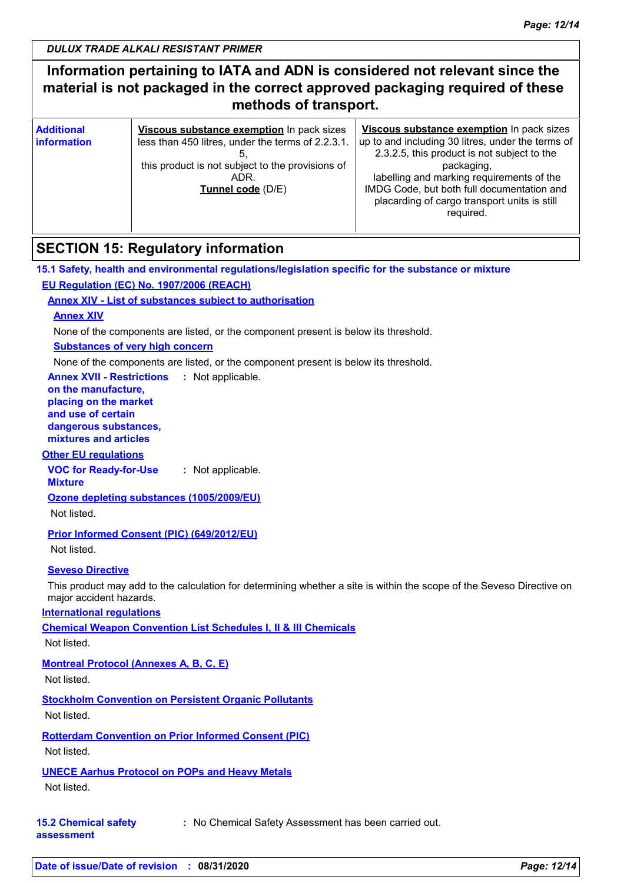## **Information pertaining to IATA and ADN is considered not relevant since the material is not packaged in the correct approved packaging required of these methods of transport.**

| <b>Additional</b><br><b>linformation</b> | Viscous substance exemption In pack sizes<br>less than 450 litres, under the terms of 2.2.3.1.<br>this product is not subject to the provisions of<br>ADR.<br>Tunnel code (D/E) | Viscous substance exemption In pack sizes<br>up to and including 30 litres, under the terms of<br>2.3.2.5, this product is not subject to the<br>packaging,<br>labelling and marking requirements of the<br>IMDG Code, but both full documentation and<br>placarding of cargo transport units is still<br>required. |  |
|------------------------------------------|---------------------------------------------------------------------------------------------------------------------------------------------------------------------------------|---------------------------------------------------------------------------------------------------------------------------------------------------------------------------------------------------------------------------------------------------------------------------------------------------------------------|--|
|------------------------------------------|---------------------------------------------------------------------------------------------------------------------------------------------------------------------------------|---------------------------------------------------------------------------------------------------------------------------------------------------------------------------------------------------------------------------------------------------------------------------------------------------------------------|--|

## **SECTION 15: Regulatory information**

**15.1 Safety, health and environmental regulations/legislation specific for the substance or mixture EU Regulation (EC) No. 1907/2006 (REACH)**

#### **Annex XIV - List of substances subject to authorisation**

#### **Annex XIV**

None of the components are listed, or the component present is below its threshold.

#### **Substances of very high concern**

None of the components are listed, or the component present is below its threshold.

**Annex XVII - Restrictions** : Not applicable.

#### **on the manufacture, placing on the market and use of certain dangerous substances,**

**mixtures and articles**

## **Other EU regulations**

**VOC for Ready-for-Use :** Not applicable.

**Mixture**

**Ozone depleting substances (1005/2009/EU)**

Not listed.

#### **Prior Informed Consent (PIC) (649/2012/EU)**

Not listed.

#### **Seveso Directive**

This product may add to the calculation for determining whether a site is within the scope of the Seveso Directive on major accident hazards.

#### **International regulations**

**Chemical Weapon Convention List Schedules I, II & III Chemicals**

Not listed.

#### **Montreal Protocol (Annexes A, B, C, E)**

Not listed.

#### **Stockholm Convention on Persistent Organic Pollutants**

Not listed.

#### **Rotterdam Convention on Prior Informed Consent (PIC)** Not listed.

#### **UNECE Aarhus Protocol on POPs and Heavy Metals**

Not listed.

#### **15.2 Chemical safety :** No Chemical Safety Assessment has been carried out.

**assessment**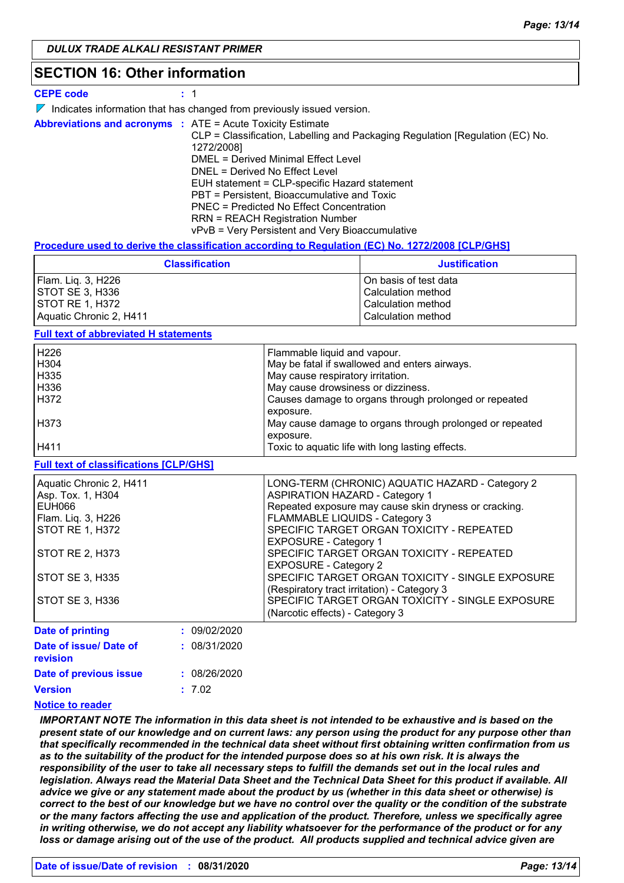## **SECTION 16: Other information**

| <b>CEPE code</b> |  |
|------------------|--|
|------------------|--|

- $\nabla$  Indicates information that has changed from previously issued version.
- **Abbreviations and acronyms :** ATE = Acute Toxicity Estimate CLP = Classification, Labelling and Packaging Regulation [Regulation (EC) No. 1272/2008] DMEL = Derived Minimal Effect Level DNEL = Derived No Effect Level EUH statement = CLP-specific Hazard statement PBT = Persistent, Bioaccumulative and Toxic PNEC = Predicted No Effect Concentration RRN = REACH Registration Number vPvB = Very Persistent and Very Bioaccumulative

#### **Procedure used to derive the classification according to Regulation (EC) No. 1272/2008 [CLP/GHS]**

| <b>Classification</b>   | <b>Justification</b>  |
|-------------------------|-----------------------|
| Flam. Liq. 3, H226      | On basis of test data |
| <b>ISTOT SE 3. H336</b> | Calculation method    |
| <b>ISTOT RE 1. H372</b> | Calculation method    |
| Aquatic Chronic 2, H411 | Calculation method    |

#### **Full text of abbreviated H statements**

| H <sub>226</sub> | Flammable liquid and vapour.                             |
|------------------|----------------------------------------------------------|
| H304             | May be fatal if swallowed and enters airways.            |
| H335             | May cause respiratory irritation.                        |
| H336             | May cause drowsiness or dizziness.                       |
| H372             | Causes damage to organs through prolonged or repeated    |
|                  | exposure.                                                |
| H373             | May cause damage to organs through prolonged or repeated |
|                  | exposure.                                                |
| H411             | Toxic to aquatic life with long lasting effects.         |

#### **Full text of classifications [CLP/GHS]**

| Aquatic Chronic 2, H411 |              | LONG-TERM (CHRONIC) AQUATIC HAZARD - Category 2       |
|-------------------------|--------------|-------------------------------------------------------|
| Asp. Tox. 1, H304       |              | <b>ASPIRATION HAZARD - Category 1</b>                 |
| EUH066                  |              | Repeated exposure may cause skin dryness or cracking. |
| Flam. Liq. 3, H226      |              | FLAMMABLE LIQUIDS - Category 3                        |
| STOT RE 1, H372         |              | SPECIFIC TARGET ORGAN TOXICITY - REPEATED             |
|                         |              | <b>EXPOSURE - Category 1</b>                          |
| STOT RE 2, H373         |              | SPECIFIC TARGET ORGAN TOXICITY - REPEATED             |
|                         |              | <b>EXPOSURE - Category 2</b>                          |
| STOT SE 3, H335         |              | SPECIFIC TARGET ORGAN TOXICITY - SINGLE EXPOSURE      |
|                         |              | (Respiratory tract irritation) - Category 3           |
| STOT SE 3, H336         |              | SPECIFIC TARGET ORGAN TOXICITY - SINGLE EXPOSURE      |
|                         |              | (Narcotic effects) - Category 3                       |
| Date of printing        | : 09/02/2020 |                                                       |

| Date of issue/ Date of<br><b>revision</b> | : 08/31/2020 |
|-------------------------------------------|--------------|
| Date of previous issue                    | : 08/26/2020 |
| <b>Version</b>                            | : 7.02       |
|                                           |              |

#### **Notice to reader**

*IMPORTANT NOTE The information in this data sheet is not intended to be exhaustive and is based on the present state of our knowledge and on current laws: any person using the product for any purpose other than that specifically recommended in the technical data sheet without first obtaining written confirmation from us as to the suitability of the product for the intended purpose does so at his own risk. It is always the responsibility of the user to take all necessary steps to fulfill the demands set out in the local rules and legislation. Always read the Material Data Sheet and the Technical Data Sheet for this product if available. All advice we give or any statement made about the product by us (whether in this data sheet or otherwise) is correct to the best of our knowledge but we have no control over the quality or the condition of the substrate or the many factors affecting the use and application of the product. Therefore, unless we specifically agree in writing otherwise, we do not accept any liability whatsoever for the performance of the product or for any loss or damage arising out of the use of the product. All products supplied and technical advice given are*